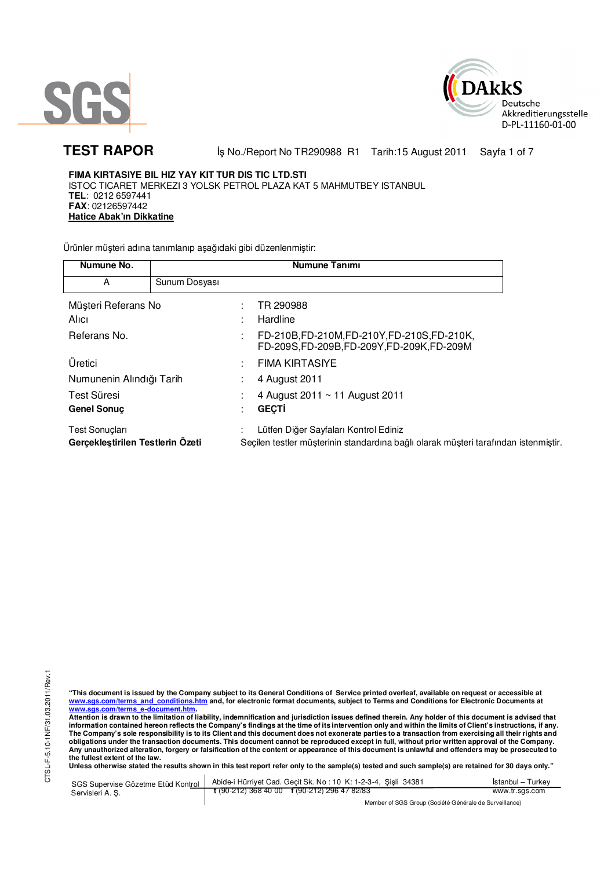



TEST RAPOR **BEAT IS A REPORM IS NO./Report No TR290988 R1 Tarih:15 August 2011 Sayfa 1 of 7** 

**FIMA KIRTASIYE BIL HIZ YAY KIT TUR DIS TIC LTD.STI**  ISTOC TICARET MERKEZI 3 YOLSK PETROL PLAZA KAT 5 MAHMUTBEY ISTANBUL **TEL**: 0212 6597441 **FAX**: 02126597442 **Hatice Abak'ın Dikkatine**

Ürünler müşteri adına tanımlanıp aşağıdaki gibi düzenlenmiştir:

| Numune No.                                                |               | <b>Numune Tanımı</b>                                                                                                         |
|-----------------------------------------------------------|---------------|------------------------------------------------------------------------------------------------------------------------------|
| A                                                         | Sunum Dosyası |                                                                                                                              |
| Müşteri Referans No                                       |               | TR 290988                                                                                                                    |
| Alici                                                     |               | Hardline                                                                                                                     |
| Referans No.                                              |               | FD-210B,FD-210M,FD-210Y,FD-210S,FD-210K,<br>FD-209S,FD-209B,FD-209Y,FD-209K,FD-209M                                          |
| Üretici                                                   |               | <b>FIMA KIRTASIYE</b>                                                                                                        |
| Numunenin Alındığı Tarih                                  |               | 4 August 2011                                                                                                                |
| Test Süresi                                               |               | 4 August 2011 ~ 11 August 2011                                                                                               |
| <b>Genel Sonuc</b>                                        |               | <b>GECTI</b>                                                                                                                 |
| <b>Test Sonuclari</b><br>Gerçekleştirilen Testlerin Özeti |               | Lütfen Diğer Sayfaları Kontrol Ediniz<br>Seçilen testler müşterinin standardına bağlı olarak müşteri tarafından istenmiştir. |

CTSL-F-5.10-1NF/31.03.2011/Rev.1 CTSL-F-5.10-1NF/31.03.2011/Rev.1

"This document is issued by the Company subject to its General Conditions of Service printed overleaf, available on request or accessible at<br>www.sgs.com/terms\_and\_conditions.htm\_and, for electronic format documents, subjec <mark>www.sgs.com/terms\_e-document.htm.</mark><br>Attention is drawn to the limitation of liability, indemnification and jurisdiction issues defined therein. Any holder of this document is advised that

information contained hereon reflects the Company's findings at the time of its intervention only and within the limits of Client's instructions, if any.<br>The Company's sole responsibility is to its Client and this document **obligations under the transaction documents. This document cannot be reproduced except in full, without prior written approval of the Company. Any unauthorized alteration, forgery or falsification of the content or appearance of this document is unlawful and offenders may be prosecuted to the fullest extent of the law.** 

**Unless otherwise stated the results shown in this test report refer only to the sample(s) tested and such sample(s) are retained for 30 days only."** 

SGS Supervise Gözetme Etüd Kontrol Servisleri A. Ş. Abide-i Hürriyet Cad. Geçit Sk. No : 10 K: 1-2-3-4, Şişli 34381 **t** (90-212) 368 40 00 **f** (90-212) 296 47 82/83 İstanbul – Turkey www.tr.sgs.com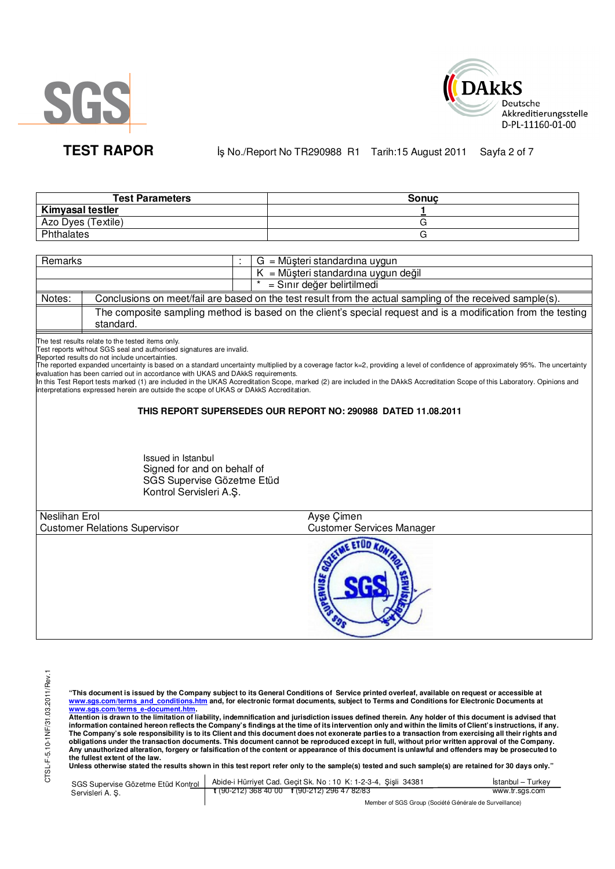



TEST RAPOR **BEAT IS A REPORM IS NO./Report No TR290988 R1 Tarih:15 August 2011 Sayfa 2 of 7** 

| <b>Test Parameters</b>  | Sonuc |
|-------------------------|-------|
| <b>Kimyasal testler</b> |       |
| Azo Dyes (Textile)      |       |
| Phthalates              |       |

| Remarks |           | $G = M\ddot{\mu}$ șteri standardina uygun                                                                     |
|---------|-----------|---------------------------------------------------------------------------------------------------------------|
|         |           | $K = M\ddot{\mu}$ şteri standardına uygun değil                                                               |
|         |           | = Sınır değer belirtilmedi                                                                                    |
| Notes:  |           | Conclusions on meet/fail are based on the test result from the actual sampling of the received sample(s).     |
|         | standard. | The composite sampling method is based on the client's special request and is a modification from the testing |

The test results relate to the tested items only.

Test reports without SGS seal and authorised signatures are invalid.

Reported results do not include uncertainties.

The reported expanded uncertainty is based on a standard uncertainty multiplied by a coverage factor k=2, providing a level of confidence of approximately 95%. The uncertainty evaluation has been carried out in accordance with UKAS and DAkkS requirements.

In this Test Report tests marked (1) are included in the UKAS Accreditation Scope, marked (2) are included in the DAkkS Accreditation Scope of this Laboratory. Opinions and interpretations expressed herein are outside the scope of UKAS or DAkkS Accreditation.

# **THIS REPORT SUPERSEDES OUR REPORT NO: 290988 DATED 11.08.2011**

Issued in Istanbul Signed for and on behalf of SGS Supervise Gözetme Etüd Kontrol Servisleri A.Ş.

| Neslihan Erol                        | Ayşe Çimen                       |  |
|--------------------------------------|----------------------------------|--|
| <b>Customer Relations Supervisor</b> | <b>Customer Services Manager</b> |  |
|                                      |                                  |  |

**"This document is issued by the Company subject to its General Conditions of Service printed overleaf, available on request or accessible at www.sgs.com/terms\_and\_conditions.htm and, for electronic format documents, subject to Terms and Conditions for Electronic Documents at** 

<mark>www.sgs.com/terms\_e-document.htm.</mark><br>Attention is drawn to the limitation of liability, indemnification and jurisdiction issues defined therein. Any holder of this document is advised that information contained hereon reflects the Company's findings at the time of its intervention only and within the limits of Client's instructions, if any.<br>The Company's sole responsibility is to its Client and this document **obligations under the transaction documents. This document cannot be reproduced except in full, without prior written approval of the Company. Any unauthorized alteration, forgery or falsification of the content or appearance of this document is unlawful and offenders may be prosecuted to the fullest extent of the law.** 

Unless otherwise stated the results shown in this test report refer only to the sample(s) tested and such sample(s) are retained for 30 days only."

|                  | SGS Supervise Gözetme Etüd Kontrol   Abide-i Hürriyet Cad. Geçit Sk. No: 10 K: 1-2-3-4, Şişli 34381      | Istanbul – Turkey |
|------------------|----------------------------------------------------------------------------------------------------------|-------------------|
| Servisleri A. S. | $\frac{1}{2}$ (90-212) 368 40 00 $\frac{1}{2}$ (90-212) 296 47 82/83                                     | www.tr.sgs.com    |
|                  | $M_{\rm BH}$ . The state of $\sim$ $\sim$ $M_{\rm BH}$ is the $\sim$ $M_{\rm BH}$ is the state of $\sim$ |                   |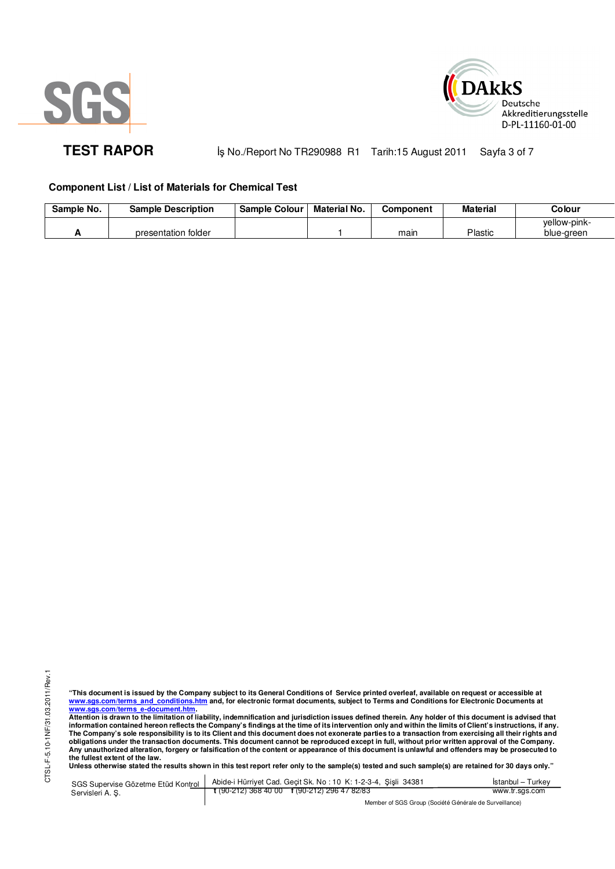



**TEST RAPOR** iş No./Report No TR290988 R1 Tarih:15 August 2011 Sayfa 3 of 7

# **Component List / List of Materials for Chemical Test**

| Sample No. | <b>Sample Description</b> | <b>Sample Colour</b> | Material No. | Component | <b>Material</b> | Colour       |
|------------|---------------------------|----------------------|--------------|-----------|-----------------|--------------|
|            |                           |                      |              |           |                 | yellow-pink- |
|            | presentation folder       |                      |              | main      | Plastic         | blue-green   |

"This document is issued by the Company subject to its General Conditions of Service printed overleaf, available on request or accessible at<br>www.sgs.com/terms\_and\_conditions.htm\_and, for electronic format documents, subjec <mark>www.sgs.com/terms\_e-document.htm.</mark><br>Attention is drawn to the limitation of liability, indemnification and jurisdiction issues defined therein. Any holder of this document is advised that

information contained hereon reflects the Company's findings at the time of its intervention only and within the limits of Client's instructions, if any.<br>The Company's sole responsibility is to its Client and this document **obligations under the transaction documents. This document cannot be reproduced except in full, without prior written approval of the Company. Any unauthorized alteration, forgery or falsification of the content or appearance of this document is unlawful and offenders may be prosecuted to the fullest extent of the law.** 

**Unless otherwise stated the results shown in this test report refer only to the sample(s) tested and such sample(s) are retained for 30 days only."** 

SGS Supervise Gözetme Etüd Kontrol Servisleri A. Ş. Abide-i Hürriyet Cad. Geçit Sk. No : 10 K: 1-2-3-4, Şişli 34381 **t** (90-212) 368 40 00 **f** (90-212) 296 47 82/83 İstanbul – Turkey www.tr.sgs.com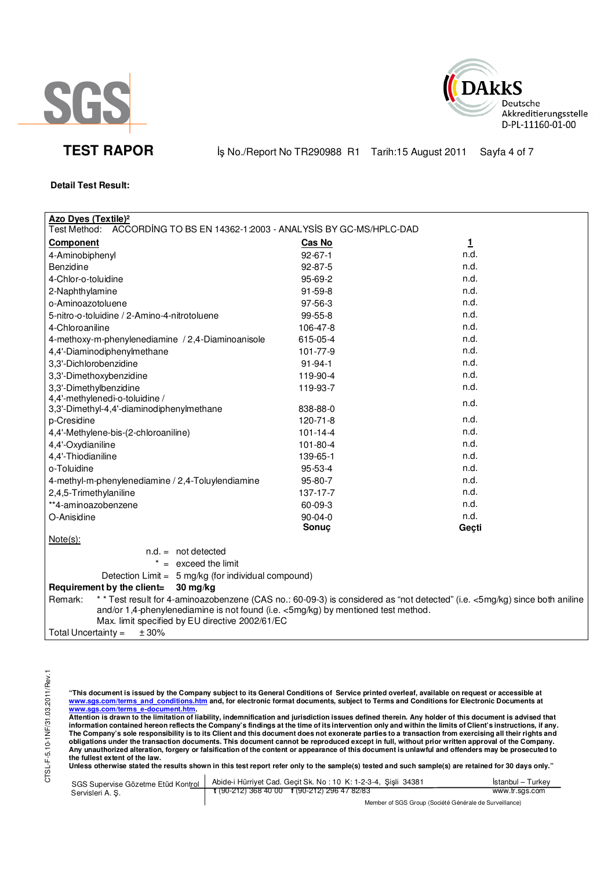



**TEST RAPOR** iş No./Report No TR290988 R1 Tarih:15 August 2011 Sayfa 4 of 7

# **Detail Test Result:**

| <b>Azo Dyes (Textile)<sup>2</sup></b>                                                                                                                                                                                                                                        |                |              |  |  |  |
|------------------------------------------------------------------------------------------------------------------------------------------------------------------------------------------------------------------------------------------------------------------------------|----------------|--------------|--|--|--|
| Test Method:<br>ACCORDING TO BS EN 14362-1:2003 - ANALYSIS BY GC-MS/HPLC-DAD                                                                                                                                                                                                 |                |              |  |  |  |
| <b>Component</b>                                                                                                                                                                                                                                                             | Cas No         | $\mathbf{1}$ |  |  |  |
| 4-Aminobiphenyl                                                                                                                                                                                                                                                              | $92 - 67 - 1$  | n.d.         |  |  |  |
| <b>Benzidine</b>                                                                                                                                                                                                                                                             | 92-87-5        | n.d.         |  |  |  |
| 4-Chlor-o-toluidine                                                                                                                                                                                                                                                          | 95-69-2        | n.d.         |  |  |  |
| 2-Naphthylamine                                                                                                                                                                                                                                                              | 91-59-8        | n.d.         |  |  |  |
| o-Aminoazotoluene                                                                                                                                                                                                                                                            | 97-56-3        | n.d.         |  |  |  |
| 5-nitro-o-toluidine / 2-Amino-4-nitrotoluene                                                                                                                                                                                                                                 | 99-55-8        | n.d.         |  |  |  |
| 4-Chloroaniline                                                                                                                                                                                                                                                              | 106-47-8       | n.d.         |  |  |  |
| 4-methoxy-m-phenylenediamine / 2,4-Diaminoanisole                                                                                                                                                                                                                            | 615-05-4       | n.d.         |  |  |  |
| 4,4'-Diaminodiphenylmethane                                                                                                                                                                                                                                                  | 101-77-9       | n.d.         |  |  |  |
| 3,3'-Dichlorobenzidine                                                                                                                                                                                                                                                       | $91 - 94 - 1$  | n.d.         |  |  |  |
| 3,3'-Dimethoxybenzidine                                                                                                                                                                                                                                                      | 119-90-4       | n.d.         |  |  |  |
| 3,3'-Dimethylbenzidine                                                                                                                                                                                                                                                       | 119-93-7       | n.d.         |  |  |  |
| 4,4'-methylenedi-o-toluidine /                                                                                                                                                                                                                                               |                | n.d.         |  |  |  |
| 3,3'-Dimethyl-4,4'-diaminodiphenylmethane                                                                                                                                                                                                                                    | 838-88-0       |              |  |  |  |
| p-Cresidine                                                                                                                                                                                                                                                                  | 120-71-8       | n.d.         |  |  |  |
| 4,4'-Methylene-bis-(2-chloroaniline)                                                                                                                                                                                                                                         | $101 - 14 - 4$ | n.d.         |  |  |  |
| 4,4'-Oxydianiline                                                                                                                                                                                                                                                            | 101-80-4       | n.d.         |  |  |  |
| 4,4'-Thiodianiline                                                                                                                                                                                                                                                           | 139-65-1       | n.d.         |  |  |  |
| o-Toluidine                                                                                                                                                                                                                                                                  | 95-53-4        | n.d.         |  |  |  |
| 4-methyl-m-phenylenediamine / 2,4-Toluylendiamine                                                                                                                                                                                                                            | 95-80-7        | n.d.         |  |  |  |
| 2,4,5-Trimethylaniline                                                                                                                                                                                                                                                       | 137-17-7       | n.d.         |  |  |  |
| **4-aminoazobenzene                                                                                                                                                                                                                                                          | 60-09-3        | n.d.         |  |  |  |
| O-Anisidine                                                                                                                                                                                                                                                                  | $90 - 04 - 0$  | n.d.         |  |  |  |
|                                                                                                                                                                                                                                                                              | Sonuç          | Geçti        |  |  |  |
| $Note(s)$ :                                                                                                                                                                                                                                                                  |                |              |  |  |  |
| $n.d. = not detected$                                                                                                                                                                                                                                                        |                |              |  |  |  |
| $* =$ exceed the limit                                                                                                                                                                                                                                                       |                |              |  |  |  |
| Detection Limit = 5 mg/kg (for individual compound)                                                                                                                                                                                                                          |                |              |  |  |  |
| Requirement by the client=<br>$30 \,\mathrm{mg/kg}$                                                                                                                                                                                                                          |                |              |  |  |  |
| ** Test result for 4-aminoazobenzene (CAS no.: 60-09-3) is considered as "not detected" (i.e. <5mg/kg) since both aniline<br>Remark:<br>and/or 1,4-phenylenediamine is not found (i.e. <5mg/kg) by mentioned test method.<br>Max. limit specified by EU directive 2002/61/EC |                |              |  |  |  |
| ± 30%<br>Total Uncertainty $=$                                                                                                                                                                                                                                               |                |              |  |  |  |

"This document is issued by the Company subject to its General Conditions of Service printed overleaf, available on request or accessible at<br>www.sgs.com/terms\_and\_conditions.htm\_and, for electronic format documents, subjec

<mark>www.sgs.com/terms\_e-document.htm.</mark><br>Attention is drawn to the limitation of liability, indemnification and jurisdiction issues defined therein. Any holder of this document is advised that information contained hereon reflects the Company's findings at the time of its intervention only and within the limits of Client's instructions, if any.<br>The Company's sole responsibility is to its Client and this document obligations under the transaction documents. This document cannot be reproduced except in full, without prior written approval of the Company.<br>Any unauthorized alteration, forgery or falsification of the content or appeara

**Unless otherwise stated the results shown in this test report refer only to the sample(s) tested and such sample(s) are retained for 30 days only."** 

|                  | SGS Supervise Gözetme Etüd Kontrol   Abide-i Hürriyet Cad. Geçit Sk. No: 10 K: 1-2-3-4, Şişli 34381 | Istanbul – Turkey |  |
|------------------|-----------------------------------------------------------------------------------------------------|-------------------|--|
| Servisleri A. S. | $\frac{1}{2}$ (90-212) 368 40 00 f (90-212) 296 47 82/83                                            | www.tr.sgs.com    |  |
|                  | Member of SGS Group (Société Générale de Surveillance)                                              |                   |  |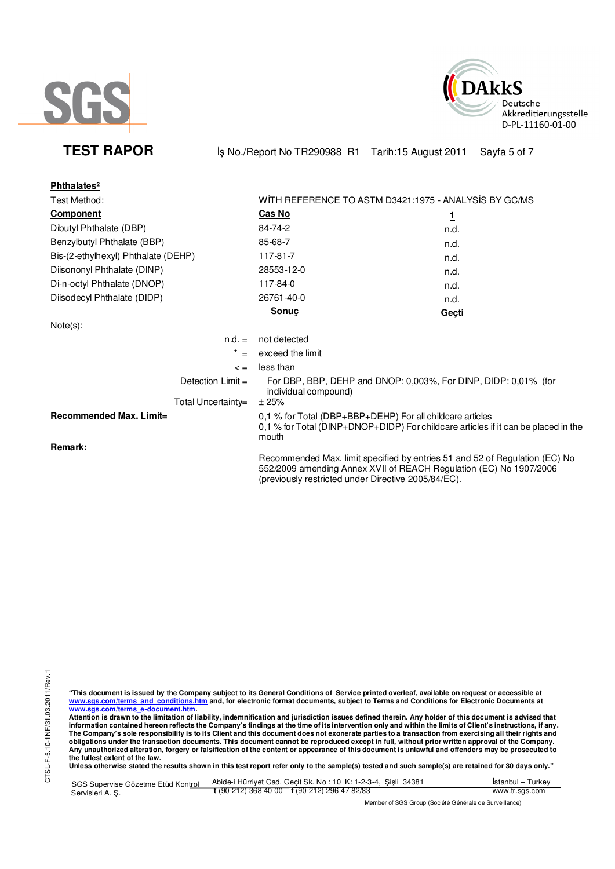



**TEST RAPOR** iş No./Report No TR290988 R1 Tarih:15 August 2011 Sayfa 5 of 7

| Phthalates <sup>2</sup>             |                                                                                                                                                                                                          |          |  |
|-------------------------------------|----------------------------------------------------------------------------------------------------------------------------------------------------------------------------------------------------------|----------|--|
| Test Method:                        | WITH REFERENCE TO ASTM D3421:1975 - ANALYSIS BY GC/MS                                                                                                                                                    |          |  |
| <b>Component</b>                    | <b>Cas No</b>                                                                                                                                                                                            | <u>1</u> |  |
| Dibutyl Phthalate (DBP)             | 84-74-2                                                                                                                                                                                                  | n.d.     |  |
| Benzylbutyl Phthalate (BBP)         | 85-68-7                                                                                                                                                                                                  | n.d.     |  |
| Bis-(2-ethylhexyl) Phthalate (DEHP) | 117-81-7                                                                                                                                                                                                 | n.d.     |  |
| Diisononyl Phthalate (DINP)         | 28553-12-0                                                                                                                                                                                               | n.d.     |  |
| Di-n-octyl Phthalate (DNOP)         | 117-84-0                                                                                                                                                                                                 | n.d.     |  |
| Diisodecyl Phthalate (DIDP)         | 26761-40-0                                                                                                                                                                                               | n.d.     |  |
|                                     | Sonuc                                                                                                                                                                                                    | Geçti    |  |
| $Note(s)$ :                         |                                                                                                                                                                                                          |          |  |
| $n.d. =$                            | not detected                                                                                                                                                                                             |          |  |
| $\star$<br>$=$                      | exceed the limit                                                                                                                                                                                         |          |  |
| $\leq$ =                            | less than                                                                                                                                                                                                |          |  |
| Detection $Limit =$                 | For DBP, BBP, DEHP and DNOP: 0,003%, For DINP, DIDP: 0,01% (for<br>individual compound)                                                                                                                  |          |  |
| Total Uncertainty=                  | ± 25%                                                                                                                                                                                                    |          |  |
| Recommended Max. Limit=             | 0,1 % for Total (DBP+BBP+DEHP) For all childcare articles<br>0,1 % for Total (DINP+DNOP+DIDP) For childcare articles if it can be placed in the<br>mouth                                                 |          |  |
| Remark:                             |                                                                                                                                                                                                          |          |  |
|                                     | Recommended Max. limit specified by entries 51 and 52 of Regulation (EC) No<br>552/2009 amending Annex XVII of REACH Regulation (EC) No 1907/2006<br>(previously restricted under Directive 2005/84/EC). |          |  |

CTSL-F-5.10-1NF/31.03.2011/Rev.1 CTSL-F-5.10-1NF/31.03.2011/Rev.1

"This document is issued by the Company subject to its General Conditions of Service printed overleaf, available on request or accessible at<br>www.sgs.com/terms\_and\_conditions.htm\_and, for electronic format documents, subjec <mark>www.sgs.com/terms\_e-document.htm.</mark><br>Attention is drawn to the limitation of liability, indemnification and jurisdiction issues defined therein. Any holder of this document is advised that

information contained hereon reflects the Company's findings at the time of its intervention only and within the limits of Client's instructions, if any.<br>The Company's sole responsibility is to its Client and this document obligations under the transaction documents. This document cannot be reproduced except in full, without prior written approval of the Company.<br>Any unauthorized alteration, forgery or falsification of the content or appeara

**Unless otherwise stated the results shown in this test report refer only to the sample(s) tested and such sample(s) are retained for 30 days only."** 

SGS Supervise Gözetme Etüd Kontrol Servisleri A. Ş. Abide-i Hürriyet Cad. Geçit Sk. No : 10 K: 1-2-3-4, Şişli 34381 **t** (90-212) 368 40 00 **f** (90-212) 296 47 82/83 İstanbul – Turkey www.tr.sgs.com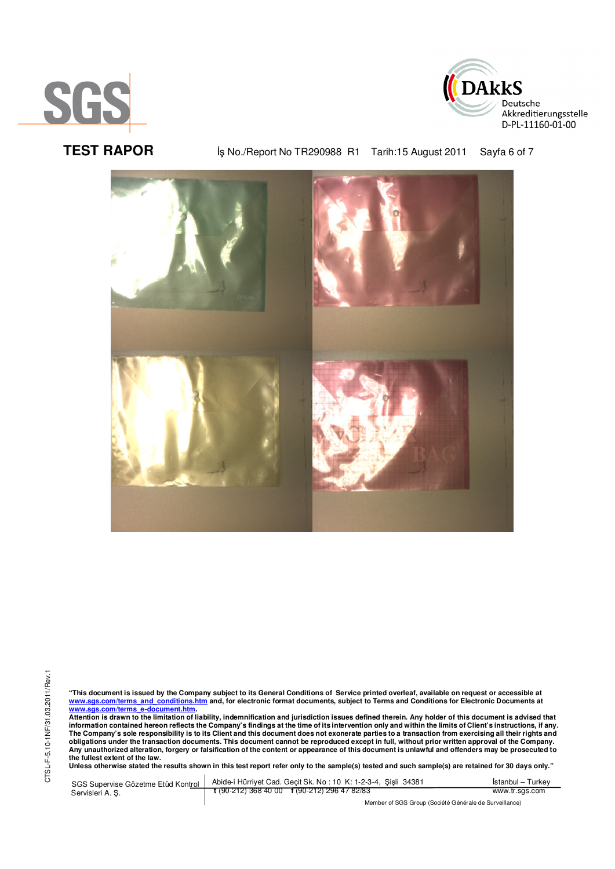



**TEST RAPOR By No./Report No TR290988 R1 Tarih:15 August 2011** Sayfa 6 of 7



"This document is issued by the Company subject to its General Conditions of Service printed overleaf, available on request or accessible at<br>www.sgs.com/terms\_and\_conditions.htm\_and, for electronic format documents, subjec <mark>www.sgs.com/terms\_e-document.htm.</mark><br>Attention is drawn to the limitation of liability, indemnification and jurisdiction issues defined therein. Any holder of this document is advised that

information contained hereon reflects the Company's findings at the time of its intervention only and within the limits of Client's instructions, if any.<br>The Company's sole responsibility is to its Client and this document obligations under the transaction documents. This document cannot be reproduced except in full, without prior written approval of the Company.<br>Any unauthorized alteration, forgery or falsification of the content or appeara

**Unless otherwise stated the results shown in this test report refer only to the sample(s) tested and such sample(s) are retained for 30 days only."** 

SGS Supervise Gözetme Etüd Kontrol Servisleri A. Ş. Abide-i Hürriyet Cad. Geçit Sk. No : 10 K: 1-2-3-4, Şişli 34381 **t** (90-212) 368 40 00 **f** (90-212) 296 47 82/83 İstanbul – Turkey www.tr.sgs.com